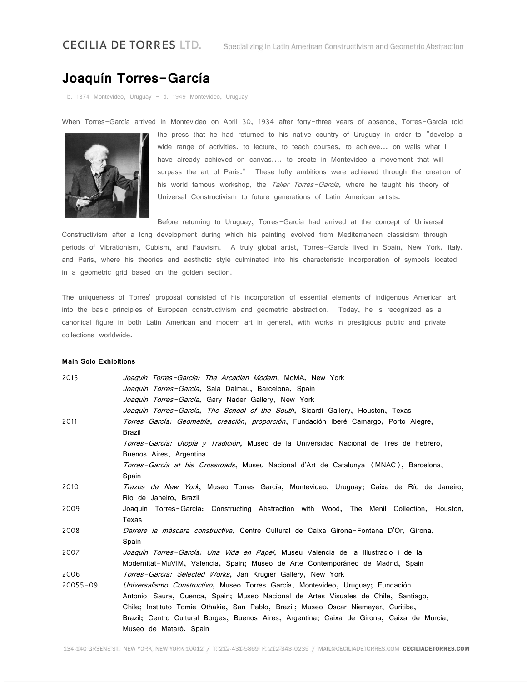## **CECILIA DE TORRES LTD.**

## **Joaquín Torres-García**

b. 1874 Montevideo, Uruguay - d. 1949 Montevideo, Uruguay

When Torres-García arrived in Montevideo on April 30, 1934 after forty-three years of absence, Torres-García told



the press that he had returned to his native country of Uruguay in order to "develop a wide range of activities, to lecture, to teach courses, to achieve... on walls what I have already achieved on canvas,... to create in Montevideo a movement that will surpass the art of Paris." These lofty ambitions were achieved through the creation of his world famous workshop, the Taller Torres-García, where he taught his theory of Universal Constructivism to future generations of Latin American artists.

Before returning to Uruguay, Torres-García had arrived at the concept of Universal Constructivism after a long development during which his painting evolved from Mediterranean classicism through periods of Vibrationism, Cubism, and Fauvism. A truly global artist, Torres-García lived in Spain, New York, Italy, and Paris, where his theories and aesthetic style culminated into his characteristic incorporation of symbols located in a geometric grid based on the golden section.

The uniqueness of Torres' proposal consisted of his incorporation of essential elements of indigenous American art into the basic principles of European constructivism and geometric abstraction. Today, he is recognized as a canonical figure in both Latin American and modern art in general, with works in prestigious public and private collections worldwide.

## **Main Solo Exhibitions**

| 2015         | Joaquín Torres-García: The Arcadian Modern, MoMA, New York                                     |
|--------------|------------------------------------------------------------------------------------------------|
|              | Joaquín Torres-García, Sala Dalmau, Barcelona, Spain                                           |
|              | Joaquín Torres-García, Gary Nader Gallery, New York                                            |
|              | <i>Joaquín Torres-García, The School of the South, Sicardi Gallery, Houston, Texas</i>         |
| 2011         | Torres García: Geometría, creación, proporción, Fundación Iberé Camargo, Porto Alegre,         |
|              | <b>Brazil</b>                                                                                  |
|              | Torres-García: Utopía y Tradición, Museo de la Universidad Nacional de Tres de Febrero,        |
|              | Buenos Aires, Argentina                                                                        |
|              | Torres-García at his Crossroads, Museu Nacional d'Art de Catalunya (MNAC), Barcelona,          |
|              | Spain                                                                                          |
| 2010         | <i>Trazos de New York</i> , Museo Torres García, Montevideo, Uruguay; Caixa de Río de Janeiro, |
|              | Rio de Janeiro, Brazil                                                                         |
| 2009         | Joaquín Torres-García: Constructing Abstraction with Wood, The Menil Collection, Houston,      |
|              | Texas                                                                                          |
| 2008         | Darrere la màscara constructiva, Centre Cultural de Caixa Girona-Fontana D'Or, Girona,         |
|              | Spain                                                                                          |
| 2007         | Joaquín Torres-García: Una Vida en Papel, Museu Valencia de la Illustracio i de la             |
|              | Modernitat-MuVIM, Valencia, Spain; Museo de Arte Contemporáneo de Madrid, Spain                |
| 2006         | Torres-Garcia: Selected Works, Jan Krugier Gallery, New York                                   |
| $20055 - 09$ | <i>Universalismo Constructivo</i> , Museo Torres García, Montevideo, Uruguay; Fundación        |
|              | Antonio Saura, Cuenca, Spain; Museo Nacional de Artes Visuales de Chile, Santiago,             |
|              | Chile; Instituto Tomie Othakie, San Pablo, Brazil; Museo Oscar Niemeyer, Curitiba,             |
|              | Brazil; Centro Cultural Borges, Buenos Aires, Argentina; Caixa de Girona, Caixa de Murcia,     |
|              | Museo de Mataró, Spain                                                                         |